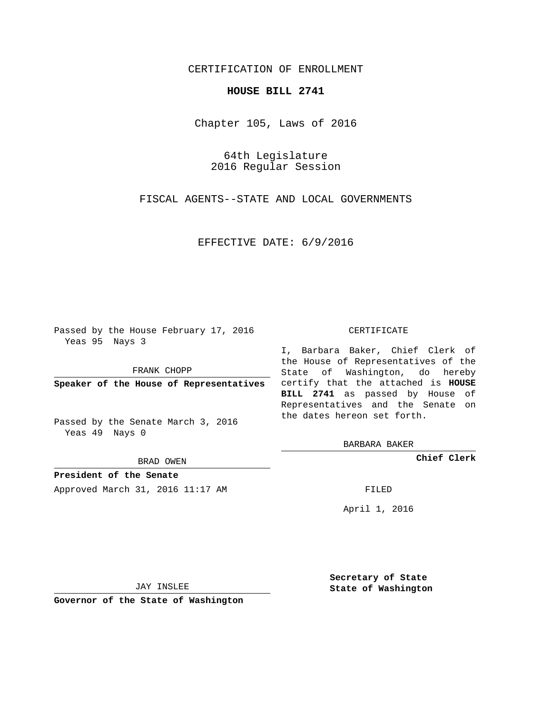## CERTIFICATION OF ENROLLMENT

## **HOUSE BILL 2741**

Chapter 105, Laws of 2016

64th Legislature 2016 Regular Session

FISCAL AGENTS--STATE AND LOCAL GOVERNMENTS

EFFECTIVE DATE: 6/9/2016

Passed by the House February 17, 2016 Yeas 95 Nays 3

FRANK CHOPP

Passed by the Senate March 3, 2016 Yeas 49 Nays 0

BRAD OWEN

**President of the Senate**

Approved March 31, 2016 11:17 AM FILED

## CERTIFICATE

**Speaker of the House of Representatives** certify that the attached is **HOUSE** I, Barbara Baker, Chief Clerk of the House of Representatives of the State of Washington, do hereby **BILL 2741** as passed by House of Representatives and the Senate on the dates hereon set forth.

BARBARA BAKER

**Chief Clerk**

April 1, 2016

JAY INSLEE

**Governor of the State of Washington**

**Secretary of State State of Washington**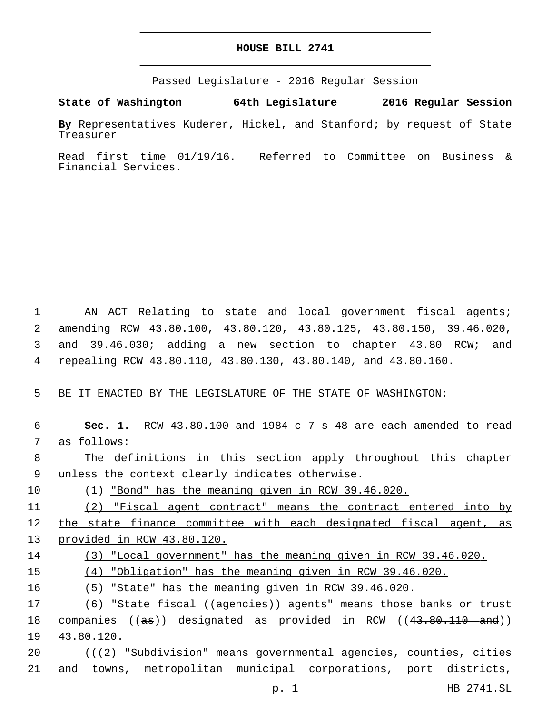## **HOUSE BILL 2741**

Passed Legislature - 2016 Regular Session

**State of Washington 64th Legislature 2016 Regular Session**

**By** Representatives Kuderer, Hickel, and Stanford; by request of State Treasurer

Read first time 01/19/16. Referred to Committee on Business & Financial Services.

1 AN ACT Relating to state and local government fiscal agents; amending RCW 43.80.100, 43.80.120, 43.80.125, 43.80.150, 39.46.020, and 39.46.030; adding a new section to chapter 43.80 RCW; and repealing RCW 43.80.110, 43.80.130, 43.80.140, and 43.80.160.

5 BE IT ENACTED BY THE LEGISLATURE OF THE STATE OF WASHINGTON:

 **Sec. 1.** RCW 43.80.100 and 1984 c 7 s 48 are each amended to read 7 as follows: The definitions in this section apply throughout this chapter 9 unless the context clearly indicates otherwise. (1) "Bond" has the meaning given in RCW 39.46.020. (2) "Fiscal agent contract" means the contract entered into by the state finance committee with each designated fiscal agent, as provided in RCW 43.80.120. (3) "Local government" has the meaning given in RCW 39.46.020. (4) "Obligation" has the meaning given in RCW 39.46.020. (5) "State" has the meaning given in RCW 39.46.020. 17 (6) "State fiscal ((ageneies)) agents" means those banks or trust 18 companies ((as)) designated as provided in RCW ((43.80.110 and)) 19 43.80.120. (((2) "Subdivision" means governmental agencies, counties, cities

21 and towns, metropolitan municipal corporations, port districts,

p. 1 HB 2741.SL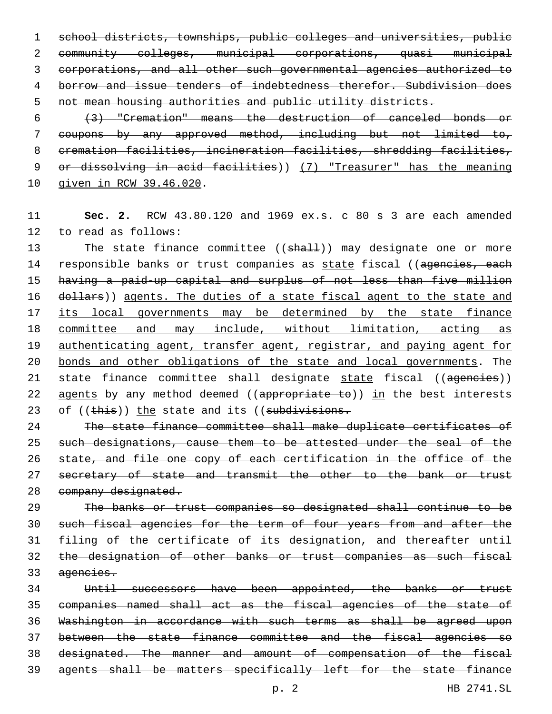school districts, townships, public colleges and universities, public community colleges, municipal corporations, quasi municipal corporations, and all other such governmental agencies authorized to borrow and issue tenders of indebtedness therefor. Subdivision does not mean housing authorities and public utility districts.

 (3) "Cremation" means the destruction of canceled bonds or coupons by any approved method, including but not limited to, cremation facilities, incineration facilities, shredding facilities, or dissolving in acid facilities)) (7) "Treasurer" has the meaning 10 given in RCW 39.46.020.

 **Sec. 2.** RCW 43.80.120 and 1969 ex.s. c 80 s 3 are each amended 12 to read as follows:

13 The state finance committee ((shall)) may designate one or more 14 responsible banks or trust companies as state fiscal ((ageneies, each having a paid-up capital and surplus of not less than five million 16 dollars)) agents. The duties of a state fiscal agent to the state and its local governments may be determined by the state finance committee and may include, without limitation, acting as 19 authenticating agent, transfer agent, registrar, and paying agent for 20 bonds and other obligations of the state and local governments. The 21 state finance committee shall designate state fiscal ((ageneies)) 22 agents by any method deemed ((appropriate to)) in the best interests 23 of ((this)) the state and its ((subdivisions.

 The state finance committee shall make duplicate certificates of such designations, cause them to be attested under the seal of the state, and file one copy of each certification in the office of the 27 secretary of state and transmit the other to the bank or trust 28 company designated.

 The banks or trust companies so designated shall continue to be 30 such fiscal agencies for the term of four years from and after the filing of the certificate of its designation, and thereafter until the designation of other banks or trust companies as such fiscal agencies.

 Until successors have been appointed, the banks or trust companies named shall act as the fiscal agencies of the state of Washington in accordance with such terms as shall be agreed upon between the state finance committee and the fiscal agencies so designated. The manner and amount of compensation of the fiscal agents shall be matters specifically left for the state finance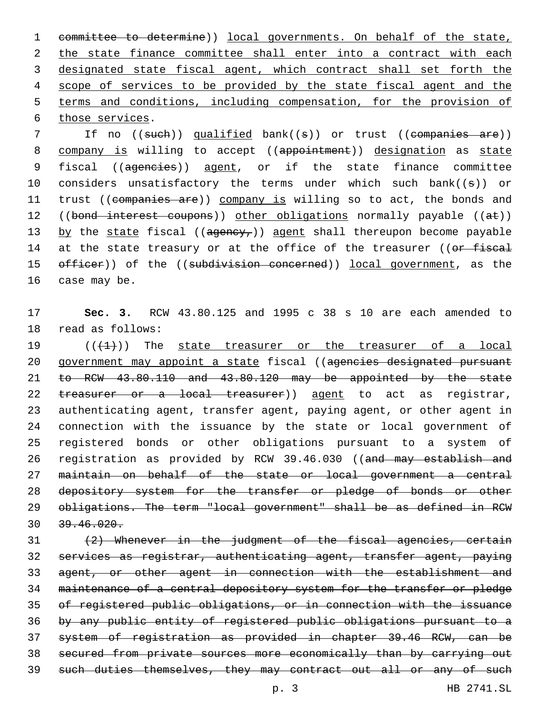committee to determine)) local governments. On behalf of the state, 2 the state finance committee shall enter into a contract with each designated state fiscal agent, which contract shall set forth the scope of services to be provided by the state fiscal agent and the terms and conditions, including compensation, for the provision of 6 those services.

7 If no ((such)) qualified bank((s)) or trust ((companies are)) 8 company is willing to accept ((appointment)) designation as state 9 fiscal ((ageneies)) agent, or if the state finance committee 10 considers unsatisfactory the terms under which such bank((s)) or 11 trust ((companies are)) company is willing so to act, the bonds and 12 ((bond interest coupons)) other obligations normally payable ((at)) 13 by the state fiscal ( $(agency<sub>r</sub>)$ ) agent shall thereupon become payable 14 at the state treasury or at the office of the treasurer ((or fiscal 15 officer)) of the ((subdivision concerned)) local government, as the 16 case may be.

17 **Sec. 3.** RCW 43.80.125 and 1995 c 38 s 10 are each amended to 18 read as follows:

 $((+1))$  The state treasurer or the treasurer of a local 20 government may appoint a state fiscal ((agencies designated pursuant to RCW 43.80.110 and 43.80.120 may be appointed by the state 22 treasurer or a local treasurer)) agent to act as registrar, authenticating agent, transfer agent, paying agent, or other agent in connection with the issuance by the state or local government of registered bonds or other obligations pursuant to a system of 26 registration as provided by RCW 39.46.030 ((and may establish and maintain on behalf of the state or local government a central 28 depository system for the transfer or pledge of bonds or other obligations. The term "local government" shall be as defined in RCW 39.46.020.

 (2) Whenever in the judgment of the fiscal agencies, certain services as registrar, authenticating agent, transfer agent, paying agent, or other agent in connection with the establishment and maintenance of a central depository system for the transfer or pledge of registered public obligations, or in connection with the issuance by any public entity of registered public obligations pursuant to a system of registration as provided in chapter 39.46 RCW, can be secured from private sources more economically than by carrying out 39 such duties themselves, they may contract out all or any of such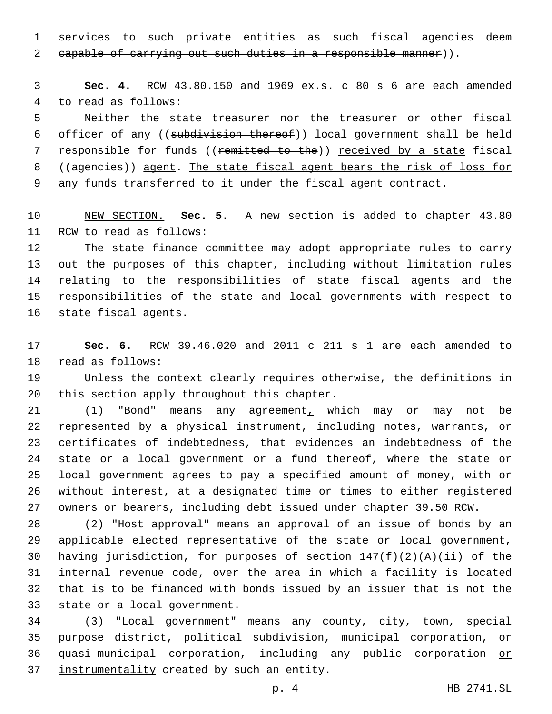services to such private entities as such fiscal agencies deem

2 capable of carrying out such duties in a responsible manner)).

 **Sec. 4.** RCW 43.80.150 and 1969 ex.s. c 80 s 6 are each amended 4 to read as follows:

 Neither the state treasurer nor the treasurer or other fiscal officer of any ((subdivision thereof)) local government shall be held 7 responsible for funds ((remitted to the)) received by a state fiscal ((agencies)) agent. The state fiscal agent bears the risk of loss for any funds transferred to it under the fiscal agent contract.

 NEW SECTION. **Sec. 5.** A new section is added to chapter 43.80 11 RCW to read as follows:

 The state finance committee may adopt appropriate rules to carry out the purposes of this chapter, including without limitation rules relating to the responsibilities of state fiscal agents and the responsibilities of the state and local governments with respect to 16 state fiscal agents.

 **Sec. 6.** RCW 39.46.020 and 2011 c 211 s 1 are each amended to 18 read as follows:

 Unless the context clearly requires otherwise, the definitions in 20 this section apply throughout this chapter.

 (1) "Bond" means any agreement, which may or may not be represented by a physical instrument, including notes, warrants, or certificates of indebtedness, that evidences an indebtedness of the state or a local government or a fund thereof, where the state or local government agrees to pay a specified amount of money, with or without interest, at a designated time or times to either registered owners or bearers, including debt issued under chapter 39.50 RCW.

 (2) "Host approval" means an approval of an issue of bonds by an applicable elected representative of the state or local government, having jurisdiction, for purposes of section 147(f)(2)(A)(ii) of the internal revenue code, over the area in which a facility is located that is to be financed with bonds issued by an issuer that is not the 33 state or a local government.

 (3) "Local government" means any county, city, town, special purpose district, political subdivision, municipal corporation, or quasi-municipal corporation, including any public corporation or 37 instrumentality created by such an entity.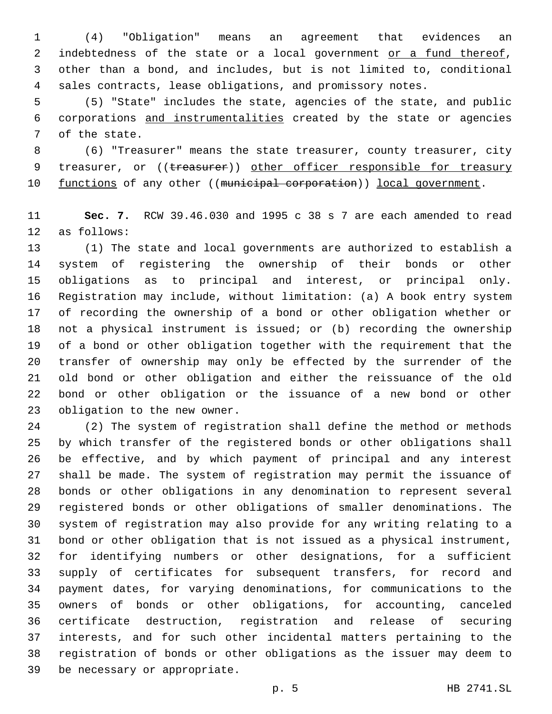(4) "Obligation" means an agreement that evidences an 2 indebtedness of the state or a local government or a fund thereof, other than a bond, and includes, but is not limited to, conditional sales contracts, lease obligations, and promissory notes.

 (5) "State" includes the state, agencies of the state, and public corporations and instrumentalities created by the state or agencies 7 of the state.

 (6) "Treasurer" means the state treasurer, county treasurer, city 9 treasurer, or ((treasurer)) other officer responsible for treasury 10 functions of any other ((municipal corporation)) local government.

 **Sec. 7.** RCW 39.46.030 and 1995 c 38 s 7 are each amended to read 12 as follows:

 (1) The state and local governments are authorized to establish a system of registering the ownership of their bonds or other obligations as to principal and interest, or principal only. Registration may include, without limitation: (a) A book entry system of recording the ownership of a bond or other obligation whether or not a physical instrument is issued; or (b) recording the ownership of a bond or other obligation together with the requirement that the transfer of ownership may only be effected by the surrender of the old bond or other obligation and either the reissuance of the old bond or other obligation or the issuance of a new bond or other 23 obligation to the new owner.

 (2) The system of registration shall define the method or methods by which transfer of the registered bonds or other obligations shall be effective, and by which payment of principal and any interest shall be made. The system of registration may permit the issuance of bonds or other obligations in any denomination to represent several registered bonds or other obligations of smaller denominations. The system of registration may also provide for any writing relating to a bond or other obligation that is not issued as a physical instrument, for identifying numbers or other designations, for a sufficient supply of certificates for subsequent transfers, for record and payment dates, for varying denominations, for communications to the owners of bonds or other obligations, for accounting, canceled certificate destruction, registration and release of securing interests, and for such other incidental matters pertaining to the registration of bonds or other obligations as the issuer may deem to 39 be necessary or appropriate.

p. 5 HB 2741.SL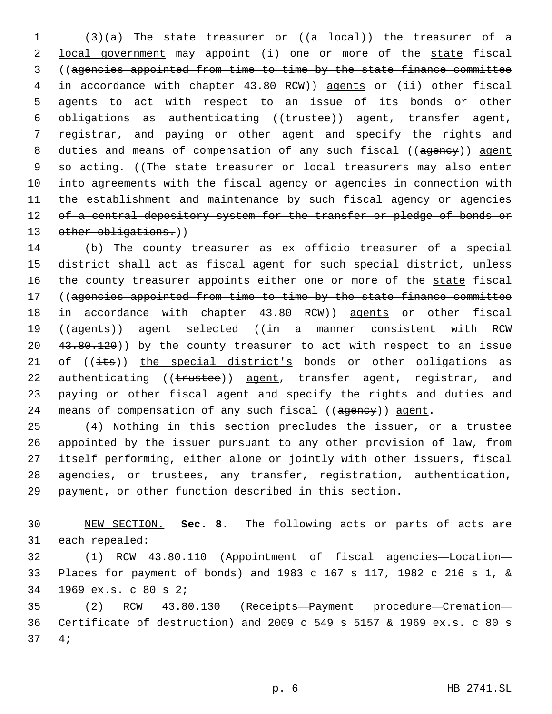1 (3)(a) The state treasurer or ((a local)) the treasurer of a 2 local government may appoint (i) one or more of the state fiscal 3 ((agencies appointed from time to time by the state finance committee 4 in accordance with chapter 43.80 RCW)) agents or (ii) other fiscal 5 agents to act with respect to an issue of its bonds or other 6 obligations as authenticating ((trustee)) agent, transfer agent, 7 registrar, and paying or other agent and specify the rights and 8 duties and means of compensation of any such fiscal ((ageney)) agent 9 so acting. ((The state treasurer or local treasurers may also enter 10 into agreements with the fiscal agency or agencies in connection with 11 the establishment and maintenance by such fiscal agency or agencies 12 of a central depository system for the transfer or pledge of bonds or 13 other obligations.))

14 (b) The county treasurer as ex officio treasurer of a special 15 district shall act as fiscal agent for such special district, unless 16 the county treasurer appoints either one or more of the state fiscal 17 ((agencies appointed from time to time by the state finance committee 18 in accordance with chapter 43.80 RCW)) agents or other fiscal 19 ((agents)) agent selected ((in a manner consistent with RCW 20 43.80.120)) by the county treasurer to act with respect to an issue 21 of  $((i$ ts)) the special district's bonds or other obligations as 22 authenticating ((trustee)) agent, transfer agent, registrar, and 23 paying or other fiscal agent and specify the rights and duties and 24 means of compensation of any such fiscal ((ageney)) agent.

 (4) Nothing in this section precludes the issuer, or a trustee appointed by the issuer pursuant to any other provision of law, from itself performing, either alone or jointly with other issuers, fiscal agencies, or trustees, any transfer, registration, authentication, payment, or other function described in this section.

30 NEW SECTION. **Sec. 8.** The following acts or parts of acts are 31 each repealed:

32 (1) RCW 43.80.110 (Appointment of fiscal agencies—Location— 33 Places for payment of bonds) and 1983 c 167 s 117, 1982 c 216 s 1, & 1969 ex.s. c 80 s 2;34

35 (2) RCW 43.80.130 (Receipts—Payment procedure—Cremation— 36 Certificate of destruction) and 2009 c 549 s 5157 & 1969 ex.s. c 80 s 4;37